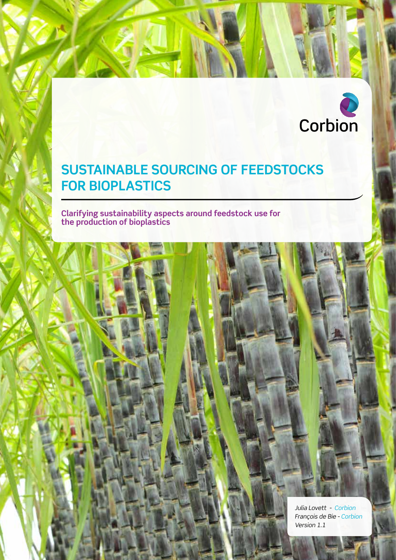

### **SUSTAINABLE SOURCING OF FEEDSTOCKS FOR BIOPLASTICS**

1 **CORBION** WHITEPAPER SUSTAINABLE SOURCING OF FEEDSTOCKS FOR BIOPLASTICS V1.1

**Clarifying sustainability aspects around feedstock use for the production of bioplastics**

> *Julia Lovett - Corbion François de Bie - Corbion Version 1.1*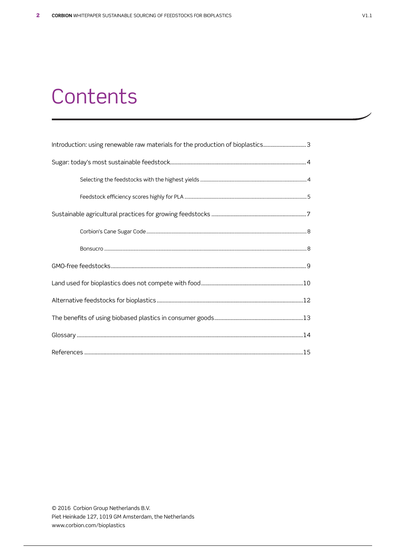### **Contents**

| Introduction: using renewable raw materials for the production of bioplastics3 |
|--------------------------------------------------------------------------------|
|                                                                                |
|                                                                                |
|                                                                                |
|                                                                                |
|                                                                                |
|                                                                                |
|                                                                                |
|                                                                                |
|                                                                                |
|                                                                                |
|                                                                                |
|                                                                                |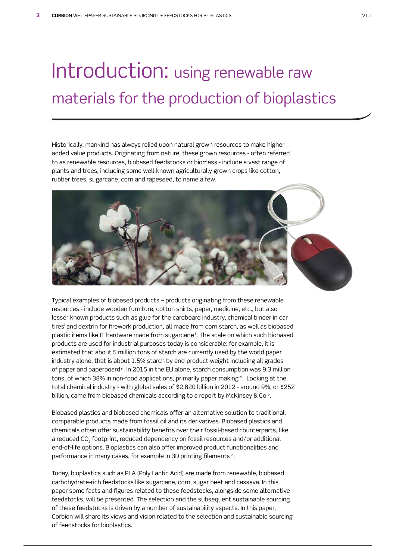## Introduction: using renewable raw materials for the production of bioplastics

Historically, mankind has always relied upon natural grown resources to make higher added value products. Originating from nature, these grown resources - often referred to as renewable resources, biobased feedstocks or biomass - include a vast range of plants and trees, including some well-known agriculturally grown crops like cotton, rubber trees, sugarcane, corn and rapeseed, to name a few.



Typical examples of biobased products – products originating from these renewable resources - include wooden furniture, cotton shirts, paper, medicine, etc., but also lesser known products such as glue for the cardboard industry, chemical binder in car tiresi and dextrin for firework production, all made from corn starch, as well as biobased plastic items like IT hardware made from sugarcane<sup>"</sup>. The scale on which such biobased products are used for industrial purposes today is considerable: for example, it is estimated that about 5 million tons of starch are currently used by the world paper industry alone: that is about 1.5% starch by end-product weight including all grades of paper and paperboard iii. In 2015 in the EU alone, starch consumption was 9.3 million tons, of which 38% in non-food applications, primarily paper making iv. Looking at the total chemical industry - with global sales of \$2,820 billion in 2012 - around 9%, or \$252 billion, came from biobased chemicals according to a report by McKinsey & Co  $^{\rm o}$  .

Biobased plastics and biobased chemicals offer an alternative solution to traditional, comparable products made from fossil oil and its derivatives. Biobased plastics and chemicals often offer sustainability benefits over their fossil-based counterparts, like a reduced CO<sub>2</sub> footprint, reduced dependency on fossil resources and/or additional end-of-life options. Bioplastics can also offer improved product functionalities and performance in many cases, for example in 3D printing filaments vi.

Today, bioplastics such as PLA (Poly Lactic Acid) are made from renewable, biobased carbohydrate-rich feedstocks like sugarcane, corn, sugar beet and cassava. In this paper some facts and figures related to these feedstocks, alongside some alternative feedstocks, will be presented. The selection and the subsequent sustainable sourcing of these feedstocks is driven by a number of sustainability aspects. In this paper, Corbion will share its views and vision related to the selection and sustainable sourcing of feedstocks for bioplastics.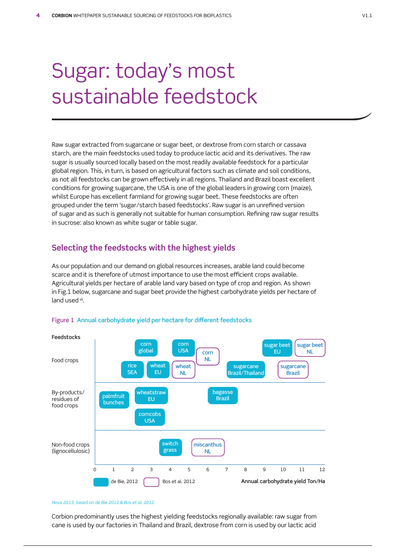# Sugar: today's most sustainable feedstock

Raw sugar extracted from sugarcane or sugar beet, or dextrose from corn starch or cassava starch, are the main feedstocks used today to produce lactic acid and its derivatives. The raw sugar is usually sourced locally based on the most readily available feedstock for a particular global region. This, in turn, is based on agricultural factors such as climate and soil conditions, as not all feedstocks can be grown effectively in all regions. Thailand and Brazil boast excellent conditions for growing sugarcane, the USA is one of the global leaders in growing corn (maize), whilst Europe has excellent farmland for growing sugar beet. These feedstocks are often grouped under the term 'sugar/starch based feedstocks'. Raw sugar is an unrefined version of sugar and as such is generally not suitable for human consumption. Refining raw sugar results in sucrose: also known as white sugar or table sugar.

### **Selecting the feedstocks with the highest yields**

As our population and our demand on global resources increases, arable land could become scarce and it is therefore of utmost importance to use the most efficient crops available. Agricultural yields per hectare of arable land vary based on type of crop and region. As shown in Fig.1 below, sugarcane and sugar beet provide the highest carbohydrate yields per hectare of land used vii.



### Figure 1 Annual carbohydrate yield per hectare for different feedstocks

#### *Nova 2013, based on de Bie 2012 & Bos et al. 2012*

Corbion predominantly uses the highest yielding feedstocks regionally available: raw sugar from cane is used by our factories in Thailand and Brazil, dextrose from corn is used by our lactic acid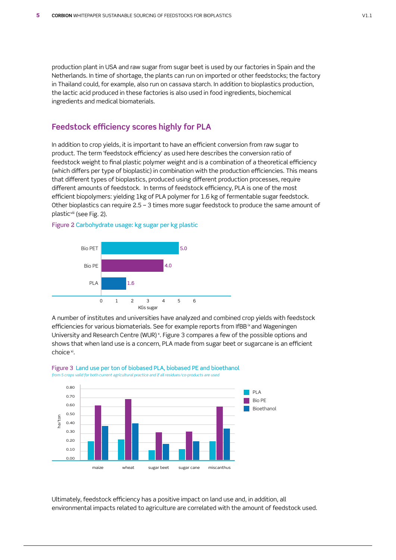production plant in USA and raw sugar from sugar beet is used by our factories in Spain and the Netherlands. In time of shortage, the plants can run on imported or other feedstocks; the factory in Thailand could, for example, also run on cassava starch. In addition to bioplastics production, the lactic acid produced in these factories is also used in food ingredients, biochemical ingredients and medical biomaterials.

### **Feedstock efficiency scores highly for PLA**

In addition to crop yields, it is important to have an efficient conversion from raw sugar to product. The term 'feedstock efficiency' as used here describes the conversion ratio of feedstock weight to final plastic polymer weight and is a combination of a theoretical efficiency (which differs per type of bioplastic) in combination with the production efficiencies. This means that different types of bioplastics, produced using different production processes, require different amounts of feedstock. In terms of feedstock efficiency, PLA is one of the most efficient biopolymers: yielding 1kg of PLA polymer for 1.6 kg of fermentable sugar feedstock. Other bioplastics can require 2.5 – 3 times more sugar feedstock to produce the same amount of plasticviii (see Fig. 2).



Figure 2 Carbohydrate usage: kg sugar per kg plastic

A number of institutes and universities have analyzed and combined crop yields with feedstock efficiencies for various biomaterials. See for example reports from IfBB  $\alpha$  and Wageningen University and Research Centre (WUR) ×. Figure 3 compares a few of the possible options and shows that when land use is a concern, PLA made from sugar beet or sugarcane is an efficient choice xi.



Figure 3 Land use per ton of biobased PLA, biobased PE and bioethanol *from 5 crops valid for both current agricultural practice and if all residues/co-products are used*

Ultimately, feedstock efficiency has a positive impact on land use and, in addition, all environmental impacts related to agriculture are correlated with the amount of feedstock used.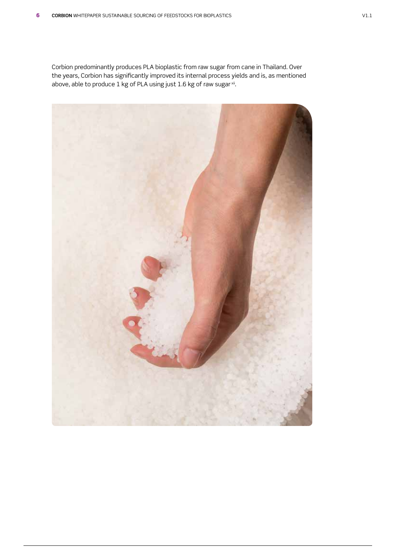Corbion predominantly produces PLA bioplastic from raw sugar from cane in Thailand. Over the years, Corbion has significantly improved its internal process yields and is, as mentioned above, able to produce 1 kg of PLA using just 1.6 kg of raw sugar  $\frac{x}{10}$ .

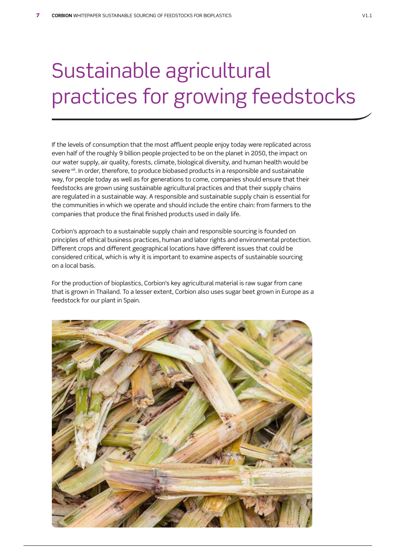# Sustainable agricultural practices for growing feedstocks

If the levels of consumption that the most affluent people enjoy today were replicated across even half of the roughly 9 billion people projected to be on the planet in 2050, the impact on our water supply, air quality, forests, climate, biological diversity, and human health would be severe xiii. In order, therefore, to produce biobased products in a responsible and sustainable way, for people today as well as for generations to come, companies should ensure that their feedstocks are grown using sustainable agricultural practices and that their supply chains are regulated in a sustainable way. A responsible and sustainable supply chain is essential for the communities in which we operate and should include the entire chain: from farmers to the companies that produce the final finished products used in daily life.

Corbion's approach to a sustainable supply chain and responsible sourcing is founded on principles of ethical business practices, human and labor rights and environmental protection. Different crops and different geographical locations have different issues that could be considered critical, which is why it is important to examine aspects of sustainable sourcing on a local basis.

For the production of bioplastics, Corbion's key agricultural material is raw sugar from cane that is grown in Thailand. To a lesser extent, Corbion also uses sugar beet grown in Europe as a feedstock for our plant in Spain.

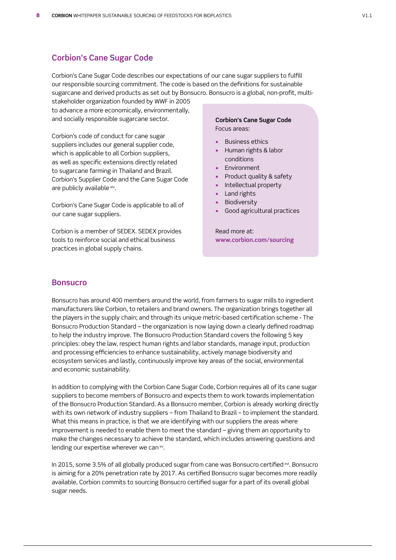### **Corbion's Cane Sugar Code**

Corbion's Cane Sugar Code describes our expectations of our cane sugar suppliers to fulfill our responsible sourcing commitment. The code is based on the definitions for sustainable sugarcane and derived products as set out by Bonsucro. Bonsucro is a global, non-profit, multi-

stakeholder organization founded by WWF in 2005 to advance a more economically, environmentally, and socially responsible sugarcane sector.

Corbion's code of conduct for cane sugar suppliers includes our general supplier code, which is applicable to all Corbion suppliers, as well as specific extensions directly related to sugarcane farming in Thailand and Brazil. Corbion's Supplier Code and the Cane Sugar Code are publicly available xiv.

Corbion's Cane Sugar Code is applicable to all of our cane sugar suppliers.

Corbion is a member of SEDEX. SEDEX provides tools to reinforce social and ethical business practices in global supply chains.

### **Corbion's Cane Sugar Code** Focus areas:

- Business ethics
- Human rights & labor conditions
- Environment
- Product quality & safety
- Intellectual property
- Land rights
- Biodiversity
- Good agricultural practices

Read more at: **www.corbion.com/sourcing**

### **Bonsucro**

Bonsucro has around 400 members around the world, from farmers to sugar mills to ingredient manufacturers like Corbion, to retailers and brand owners. The organization brings together all the players in the supply chain; and through its unique metric-based certification scheme - The Bonsucro Production Standard – the organization is now laying down a clearly defined roadmap to help the industry improve. The Bonsucro Production Standard covers the following 5 key principles: obey the law, respect human rights and labor standards, manage input, production and processing efficiencies to enhance sustainability, actively manage biodiversity and ecosystem services and lastly, continuously improve key areas of the social, environmental and economic sustainability.

In addition to complying with the Corbion Cane Sugar Code, Corbion requires all of its cane sugar suppliers to become members of Bonsucro and expects them to work towards implementation of the Bonsucro Production Standard. As a Bonsucro member, Corbion is already working directly with its own network of industry suppliers – from Thailand to Brazil – to implement the standard. What this means in practice, is that we are identifying with our suppliers the areas where improvement is needed to enable them to meet the standard – giving them an opportunity to make the changes necessary to achieve the standard, which includes answering questions and lending our expertise wherever we can xv.

In 2015, some 3.5% of all globally produced sugar from cane was Bonsucro certified xvi. Bonsucro is aiming for a 20% penetration rate by 2017. As certified Bonsucro sugar becomes more readily available, Corbion commits to sourcing Bonsucro certified sugar for a part of its overall global sugar needs.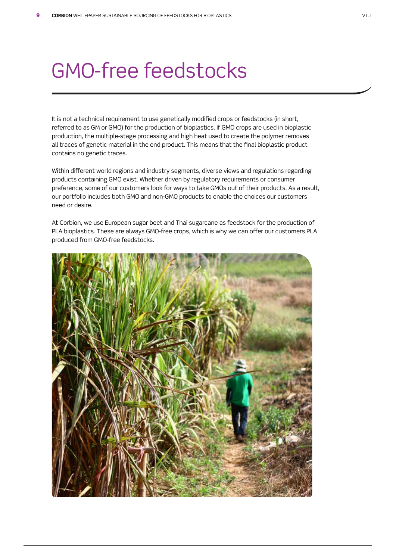### GMO-free feedstocks

It is not a technical requirement to use genetically modified crops or feedstocks (in short, referred to as GM or GMO) for the production of bioplastics. If GMO crops are used in bioplastic production, the multiple-stage processing and high heat used to create the polymer removes all traces of genetic material in the end product. This means that the final bioplastic product contains no genetic traces.

Within different world regions and industry segments, diverse views and regulations regarding products containing GMO exist. Whether driven by regulatory requirements or consumer preference, some of our customers look for ways to take GMOs out of their products. As a result, our portfolio includes both GMO and non-GMO products to enable the choices our customers need or desire.

At Corbion, we use European sugar beet and Thai sugarcane as feedstock for the production of PLA bioplastics. These are always GMO-free crops, which is why we can offer our customers PLA produced from GMO-free feedstocks.

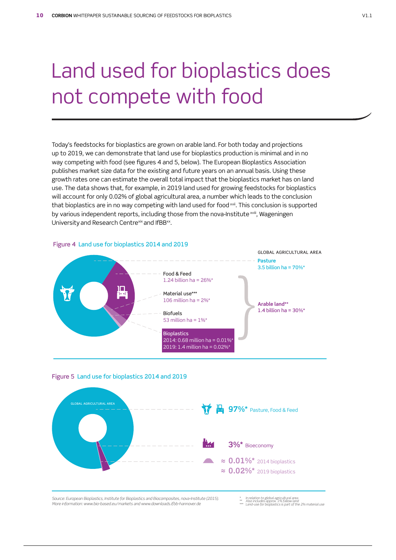# Land used for bioplastics does not compete with food

Today's feedstocks for bioplastics are grown on arable land. For both today and projections up to 2019, we can demonstrate that land use for bioplastics production is minimal and in no way competing with food (see figures 4 and 5, below). The European Bioplastics Association publishes market size data for the existing and future years on an annual basis. Using these growth rates one can estimate the overall total impact that the bioplastics market has on land use. The data shows that, for example, in 2019 land used for growing feedstocks for bioplastics will account for only 0.02% of global agricultural area, a number which leads to the conclusion that bioplastics are in no way competing with land used for food xvii. This conclusion is supported by various independent reports, including those from the nova-Institute xviii, Wageningen University and Research Centrexix and IfBBxx.

### Figure 4 Land use for bioplastics 2014 and 2019







*Source: European Bioplastics, Institute for Bioplastics and Biocomposites, nova-Institute (2015). More information: www.bio-based.eu/markets and www.downloads.ib-hannover.de*

- 
- *\* In relation to global agricultural area \*\* Also includes approx. 1% fallow land \*\*\* Land-use for bioplastics is part of the 2% material use*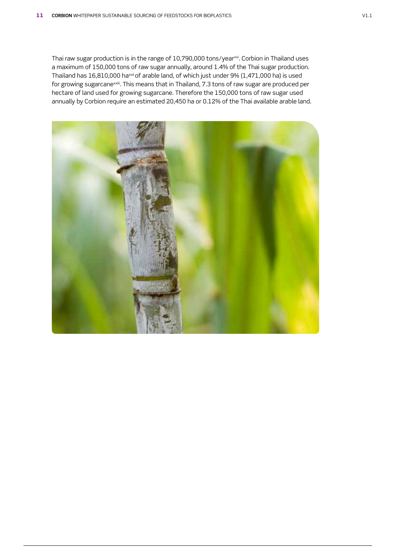Thai raw sugar production is in the range of 10,790,000 tons/year<sup>xxi</sup>. Corbion in Thailand uses a maximum of 150,000 tons of raw sugar annually, around 1.4% of the Thai sugar production. Thailand has 16,810,000 ha<sup>xxii</sup> of arable land, of which just under 9% (1,471,000 ha) is used for growing sugarcane<sup>xxiii</sup>. This means that in Thailand, 7.3 tons of raw sugar are produced per hectare of land used for growing sugarcane. Therefore the 150,000 tons of raw sugar used annually by Corbion require an estimated 20,450 ha or 0.12% of the Thai available arable land.

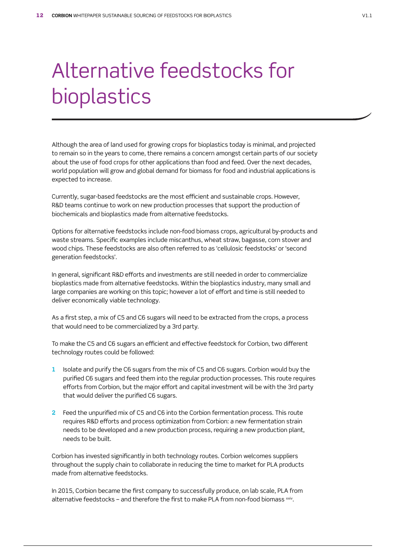# Alternative feedstocks for bioplastics

Although the area of land used for growing crops for bioplastics today is minimal, and projected to remain so in the years to come, there remains a concern amongst certain parts of our society about the use of food crops for other applications than food and feed. Over the next decades, world population will grow and global demand for biomass for food and industrial applications is expected to increase.

Currently, sugar-based feedstocks are the most efficient and sustainable crops. However, R&D teams continue to work on new production processes that support the production of biochemicals and bioplastics made from alternative feedstocks.

Options for alternative feedstocks include non-food biomass crops, agricultural by-products and waste streams. Specific examples include miscanthus, wheat straw, bagasse, corn stover and wood chips. These feedstocks are also often referred to as 'cellulosic feedstocks' or 'second generation feedstocks'.

In general, significant R&D efforts and investments are still needed in order to commercialize bioplastics made from alternative feedstocks. Within the bioplastics industry, many small and large companies are working on this topic; however a lot of effort and time is still needed to deliver economically viable technology.

As a first step, a mix of C5 and C6 sugars will need to be extracted from the crops, a process that would need to be commercialized by a 3rd party.

To make the C5 and C6 sugars an efficient and effective feedstock for Corbion, two different technology routes could be followed:

- **1** Isolate and purify the C6 sugars from the mix of C5 and C6 sugars. Corbion would buy the purified C6 sugars and feed them into the regular production processes. This route requires efforts from Corbion, but the major effort and capital investment will be with the 3rd party that would deliver the purified C6 sugars.
- **2** Feed the unpurified mix of C5 and C6 into the Corbion fermentation process. This route requires R&D efforts and process optimization from Corbion: a new fermentation strain needs to be developed and a new production process, requiring a new production plant, needs to be built.

Corbion has invested significantly in both technology routes. Corbion welcomes suppliers throughout the supply chain to collaborate in reducing the time to market for PLA products made from alternative feedstocks.

In 2015, Corbion became the first company to successfully produce, on lab scale, PLA from alternative feedstocks – and therefore the first to make PLA from non-food biomass xxiv.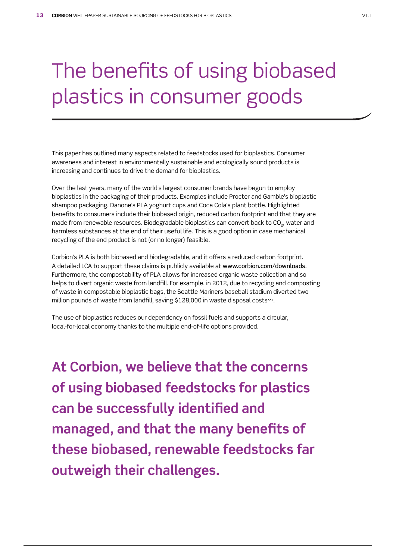# The benefits of using biobased plastics in consumer goods

This paper has outlined many aspects related to feedstocks used for bioplastics. Consumer awareness and interest in environmentally sustainable and ecologically sound products is increasing and continues to drive the demand for bioplastics.

Over the last years, many of the world's largest consumer brands have begun to employ bioplastics in the packaging of their products. Examples include Procter and Gamble's bioplastic shampoo packaging, Danone's PLA yoghurt cups and Coca Cola's plant bottle. Highlighted benefits to consumers include their biobased origin, reduced carbon footprint and that they are made from renewable resources. Biodegradable bioplastics can convert back to CO<sub>2</sub>, water and harmless substances at the end of their useful life. This is a good option in case mechanical recycling of the end product is not (or no longer) feasible.

Corbion's PLA is both biobased and biodegradable, and it offers a reduced carbon footprint. A detailed LCA to support these claims is publicly available at www.corbion.com/downloads. Furthermore, the compostability of PLA allows for increased organic waste collection and so helps to divert organic waste from landfill. For example, in 2012, due to recycling and composting of waste in compostable bioplastic bags, the Seattle Mariners baseball stadium diverted two million pounds of waste from landfill, saving \$128,000 in waste disposal costs<sup>xxv</sup>.

The use of bioplastics reduces our dependency on fossil fuels and supports a circular, local-for-local economy thanks to the multiple end-of-life options provided.

**At Corbion, we believe that the concerns of using biobased feedstocks for plastics can be successfully identified and managed, and that the many benefits of these biobased, renewable feedstocks far outweigh their challenges.**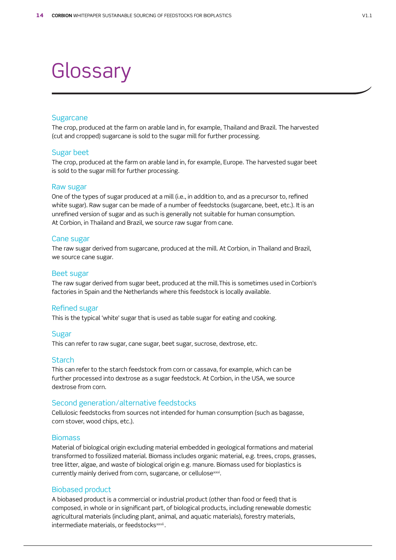### **Glossary**

### **Sugarcane**

The crop, produced at the farm on arable land in, for example, Thailand and Brazil. The harvested (cut and cropped) sugarcane is sold to the sugar mill for further processing.

### Sugar beet

The crop, produced at the farm on arable land in, for example, Europe. The harvested sugar beet is sold to the sugar mill for further processing.

### Raw sugar

One of the types of sugar produced at a mill (i.e., in addition to, and as a precursor to, refined white sugar). Raw sugar can be made of a number of feedstocks (sugarcane, beet, etc.). It is an unrefined version of sugar and as such is generally not suitable for human consumption. At Corbion, in Thailand and Brazil, we source raw sugar from cane.

#### Cane sugar

The raw sugar derived from sugarcane, produced at the mill. At Corbion, in Thailand and Brazil, we source cane sugar.

#### Beet sugar

The raw sugar derived from sugar beet, produced at the mill.This is sometimes used in Corbion's factories in Spain and the Netherlands where this feedstock is locally available.

### Refined sugar

This is the typical 'white' sugar that is used as table sugar for eating and cooking.

### Sugar

This can refer to raw sugar, cane sugar, beet sugar, sucrose, dextrose, etc.

#### **Starch**

This can refer to the starch feedstock from corn or cassava, for example, which can be further processed into dextrose as a sugar feedstock. At Corbion, in the USA, we source dextrose from corn.

### Second generation/alternative feedstocks

Cellulosic feedstocks from sources not intended for human consumption (such as bagasse, corn stover, wood chips, etc.).

### Biomass

Material of biological origin excluding material embedded in geological formations and material transformed to fossilized material. Biomass includes organic material, e.g. trees, crops, grasses, tree litter, algae, and waste of biological origin e.g. manure. Biomass used for bioplastics is currently mainly derived from corn, sugarcane, or cellulosexxvi.

### Biobased product

A biobased product is a commercial or industrial product (other than food or feed) that is composed, in whole or in significant part, of biological products, including renewable domestic agricultural materials (including plant, animal, and aquatic materials), forestry materials, intermediate materials, or feedstocks<sup>xxvii</sup>.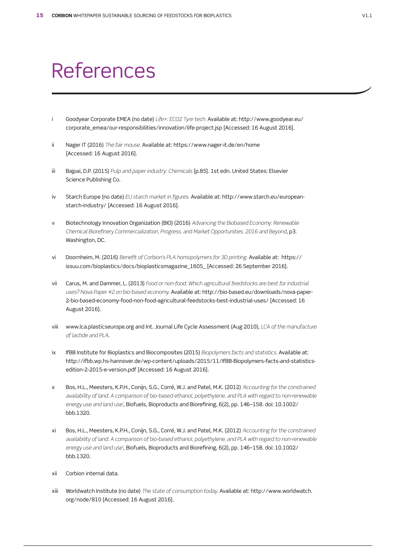### References

- i Goodyear Corporate EMEA (no date) *Life+: ECO2 Tyre tech.* Available at: http://www.goodyear.eu/ corporate\_emea/our-responsibilities/innovation/life-project.jsp [Accessed: 16 August 2016].
- ii Nager IT (2016) *The fair mouse.* Available at: https://www.nager-it.de/en/home [Accessed: 16 August 2016].
- iii Bajpai, D.P. (2015) *Pulp and paper industry: Chemicals* [p.85]. 1st edn. United States: Elsevier Science Publishing Co.
- iv Starch Europe (no date) *EU starch market in figures.* Available at: http://www.starch.eu/europeanstarch-industry/ [Accessed: 16 August 2016].
- v Biotechnology Innovation Organization (BIO) (2016) *Advancing the Biobased Economy: Renewable Chemical Biorefinery Commercialization, Progress, and Market Opportunities, 2016 and Beyond*, p3. Washington, DC.
- vi Doornheim, M. (2016) *Benefit of Corbion's PLA homopolymers for 3D printing.* Available at: https:// issuu.com/bioplastics/docs/bioplasticsmagazine\_1605\_ [Accessed: 26 September 2016].
- vii Carus, M. and Dammer, L. (2013) *Food or non-food: Which agricultural feedstocks are best for industrial uses? Nova Paper #2 on bio-based economy.* Available at: http://bio-based.eu/downloads/nova-paper-2-bio-based-economy-food-non-food-agricultural-feedstocks-best-industrial-uses/ [Accessed: 16 August 2016].
- viii www.lca.plasticseurope.org and Int. Journal Life Cycle Assessment (Aug 2010), *LCA of the manufacture of lactide and PLA*.
- ix IfBB Institute for Bioplastics and Biocomposites (2015) *Biopolymers facts and statistics.* Available at: http://ifbb.wp.hs-hannover.de/wp-content/uploads/2015/11/IfBB-Biopolymers-facts-and-statisticsedition-2-2015-e-version.pdf [Accessed: 16 August 2016].
- x Bos, H.L., Meesters, K.P.H., Conijn, S.G., Corré, W.J. and Patel, M.K. (2012) *'Accounting for the constrained availability of land: A comparison of bio-based ethanol, polyethylene, and PLA with regard to non-renewable energy use and land use'*, Biofuels, Bioproducts and Biorefining, 6(2), pp. 146–158. doi: 10.1002/ bbb.1320.
- xi Bos, H.L., Meesters, K.P.H., Conijn, S.G., Corré, W.J. and Patel, M.K. (2012) *'Accounting for the constrained availability of land: A comparison of bio-based ethanol, polyethylene, and PLA with regard to non-renewable energy use and land use'*, Biofuels, Bioproducts and Biorefining, 6(2), pp. 146–158. doi: 10.1002/ bbb.1320.
- xii Corbion internal data.
- xiii Worldwatch Institute (no date) *The state of consumption today.* Available at: http://www.worldwatch. org/node/810 [Accessed: 16 August 2016].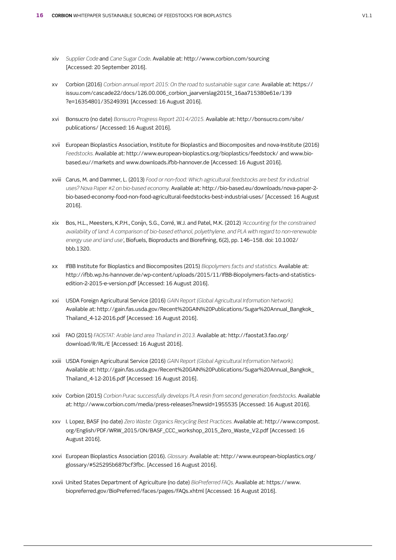- xiv *Supplier Code* and *Cane Sugar Code*. Available at: http://www.corbion.com/sourcing [Accessed: 20 September 2016].
- xv Corbion (2016) *Corbion annual report 2015: On the road to sustainable sugar cane.* Available at: https:// issuu.com/cascade22/docs/126.00.006\_corbion\_jaarverslag2015t\_16aa715380e61e/139 ?e=16354801/35249391 [Accessed: 16 August 2016].
- xvi Bonsucro (no date) *Bonsucro Progress Report 2014/2015.* Available at: http://bonsucro.com/site/ publications/ [Accessed: 16 August 2016].
- xvii European Bioplastics Association, Institute for Bioplastics and Biocomposites and nova-Institute (2016) *Feedstocks.* Available at: http://www.european-bioplastics.org/bioplastics/feedstock/ and www.biobased.eu//markets and www.downloads.ifbb-hannover.de [Accessed: 16 August 2016].
- xviii Carus, M. and Dammer, L. (2013) *Food or non-food: Which agricultural feedstocks are best for industrial uses? Nova Paper #2 on bio-based economy.* Available at: http://bio-based.eu/downloads/nova-paper-2 bio-based-economy-food-non-food-agricultural-feedstocks-best-industrial-uses/ [Accessed: 16 August 2016].
- xix Bos, H.L., Meesters, K.P.H., Conijn, S.G., Corré, W.J. and Patel, M.K. (2012) *'Accounting for the constrained availability of land: A comparison of bio-based ethanol, polyethylene, and PLA with regard to non-renewable energy use and land use'*, Biofuels, Bioproducts and Biorefining, 6(2), pp. 146–158. doi: 10.1002/ bbb.1320.
- xx IfBB Institute for Bioplastics and Biocomposites (2015) *Biopolymers facts and statistics.* Available at: http://ifbb.wp.hs-hannover.de/wp-content/uploads/2015/11/IfBB-Biopolymers-facts-and-statisticsedition-2-2015-e-version.pdf [Accessed: 16 August 2016].
- xxi USDA Foreign Agricultural Service (2016) *GAIN Report (Global Agricultural Information Network).*  Available at: http://gain.fas.usda.gov/Recent%20GAIN%20Publications/Sugar%20Annual\_Bangkok\_ Thailand\_4-12-2016.pdf [Accessed: 16 August 2016].
- xxii FAO (2015) *FAOSTAT: Arable land area Thailand in 2013.* Available at: http://faostat3.fao.org/ download/R/RL/E [Accessed: 16 August 2016].
- xxiii USDA Foreign Agricultural Service (2016) *GAIN Report (Global Agricultural Information Network).*  Available at: http://gain.fas.usda.gov/Recent%20GAIN%20Publications/Sugar%20Annual\_Bangkok\_ Thailand\_4-12-2016.pdf [Accessed: 16 August 2016].
- xxiv Corbion (2015) *Corbion Purac successfully develops PLA resin from second generation feedstocks.* Available at: http://www.corbion.com/media/press-releases?newsId=1955535 [Accessed: 16 August 2016].
- xxv I. Lopez, BASF (no date) *Zero Waste: Organics Recycling Best Practices.* Available at: http://www.compost. org/English/PDF/WRW\_2015/ON/BASF\_CCC\_workshop\_2015\_Zero\_Waste\_V2.pdf [Accessed: 16 August 2016].
- xxvi European Bioplastics Association (2016). *Glossary.* Available at: http://www.european-bioplastics.org/ glossary/#525295b687bcf3fbc. [Accessed 16 August 2016].
- xxvii United States Department of Agriculture (no date) *BioPreferred FAQs.* Available at: https://www. biopreferred.gov/BioPreferred/faces/pages/FAQs.xhtml [Accessed: 16 August 2016].